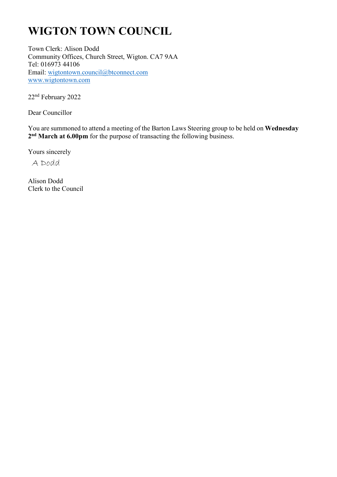# **WIGTON TOWN COUNCIL**

Town Clerk: Alison Dodd Community Offices, Church Street, Wigton. CA7 9AA Tel: 016973 44106 Email: wigtontown.council@btconnect.com www.wigtontown.com

22nd February 2022

Dear Councillor

You are summoned to attend a meeting of the Barton Laws Steering group to be held on **Wednesday**  2<sup>nd</sup> March at 6.00pm for the purpose of transacting the following business.

Yours sincerely

A Dodd

Alison Dodd Clerk to the Council